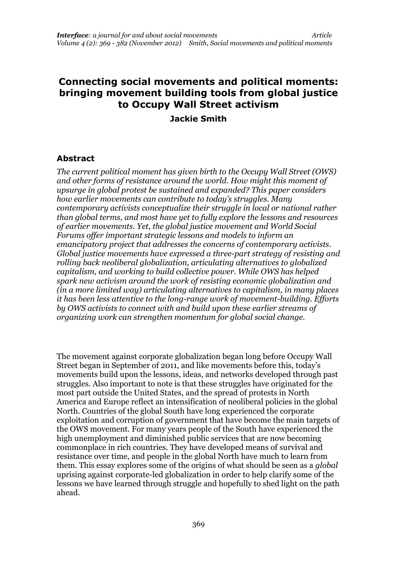# **Connecting social movements and political moments: bringing movement building tools from global justice to Occupy Wall Street activism Jackie Smith**

# **Abstract**

*The current political moment has given birth to the Occupy Wall Street (OWS) and other forms of resistance around the world. How might this moment of upsurge in global protest be sustained and expanded? This paper considers how earlier movements can contribute to today's struggles. Many contemporary activists conceptualize their struggle in local or national rather than global terms, and most have yet to fully explore the lessons and resources of earlier movements. Yet, the global justice movement and World Social Forums offer important strategic lessons and models to inform an emancipatory project that addresses the concerns of contemporary activists. Global justice movements have expressed a three-part strategy of resisting and rolling back neoliberal globalization, articulating alternatives to globalized capitalism, and working to build collective power. While OWS has helped spark new activism around the work of resisting economic globalization and (in a more limited way) articulating alternatives to capitalism, in many places it has been less attentive to the long-range work of movement-building. Efforts by OWS activists to connect with and build upon these earlier streams of organizing work can strengthen momentum for global social change.*

The movement against corporate globalization began long before Occupy Wall Street began in September of 2011, and like movements before this, today's movements build upon the lessons, ideas, and networks developed through past struggles. Also important to note is that these struggles have originated for the most part outside the United States, and the spread of protests in North America and Europe reflect an intensification of neoliberal policies in the global North. Countries of the global South have long experienced the corporate exploitation and corruption of government that have become the main targets of the OWS movement. For many years people of the South have experienced the high unemployment and diminished public services that are now becoming commonplace in rich countries. They have developed means of survival and resistance over time, and people in the global North have much to learn from them. This essay explores some of the origins of what should be seen as a *global* uprising against corporate-led globalization in order to help clarify some of the lessons we have learned through struggle and hopefully to shed light on the path ahead.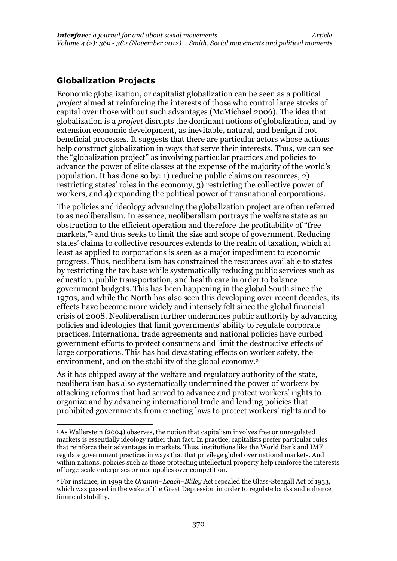## **Globalization Projects**

Economic globalization, or capitalist globalization can be seen as a political *project* aimed at reinforcing the interests of those who control large stocks of capital over those without such advantages (McMichael 2006). The idea that globalization is a *project* disrupts the dominant notions of globalization, and by extension economic development, as inevitable, natural, and benign if not beneficial processes. It suggests that there are particular actors whose actions help construct globalization in ways that serve their interests. Thus, we can see the "globalization project" as involving particular practices and policies to advance the power of elite classes at the expense of the majority of the world's population. It has done so by: 1) reducing public claims on resources, 2) restricting states' roles in the economy, 3) restricting the collective power of workers, and 4) expanding the political power of transnational corporations.

The policies and ideology advancing the globalization project are often referred to as neoliberalism. In essence, neoliberalism portrays the welfare state as an obstruction to the efficient operation and therefore the profitability of "free markets,"<sup>1</sup> and thus seeks to limit the size and scope of government. Reducing states' claims to collective resources extends to the realm of taxation, which at least as applied to corporations is seen as a major impediment to economic progress. Thus, neoliberalism has constrained the resources available to states by restricting the tax base while systematically reducing public services such as education, public transportation, and health care in order to balance government budgets. This has been happening in the global South since the 1970s, and while the North has also seen this developing over recent decades, its effects have become more widely and intensely felt since the global financial crisis of 2008. Neoliberalism further undermines public authority by advancing policies and ideologies that limit governments' ability to regulate corporate practices. International trade agreements and national policies have curbed government efforts to protect consumers and limit the destructive effects of large corporations. This has had devastating effects on worker safety, the environment, and on the stability of the global economy.<sup>2</sup>

As it has chipped away at the welfare and regulatory authority of the state, neoliberalism has also systematically undermined the power of workers by attacking reforms that had served to advance and protect workers' rights to organize and by advancing international trade and lending policies that prohibited governments from enacting laws to protect workers' rights and to

<sup>&</sup>lt;sup>1</sup> As Wallerstein (2004) observes, the notion that capitalism involves free or unregulated markets is essentially ideology rather than fact. In practice, capitalists prefer particular rules that reinforce their advantages in markets. Thus, institutions like the World Bank and IMF regulate government practices in ways that that privilege global over national markets. And within nations, policies such as those protecting intellectual property help reinforce the interests of large-scale enterprises or monopolies over competition.

<sup>2</sup> For instance, in 1999 the *Gramm–Leach–Bliley* Act repealed the Glass-Steagall Act of 1933, which was passed in the wake of the Great Depression in order to regulate banks and enhance financial stability.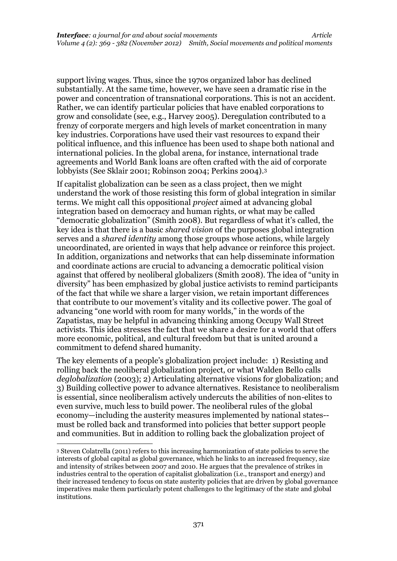support living wages. Thus, since the 1970s organized labor has declined substantially. At the same time, however, we have seen a dramatic rise in the power and concentration of transnational corporations. This is not an accident. Rather, we can identify particular policies that have enabled corporations to grow and consolidate (see, e.g., Harvey 2005). Deregulation contributed to a frenzy of corporate mergers and high levels of market concentration in many key industries. Corporations have used their vast resources to expand their political influence, and this influence has been used to shape both national and international policies. In the global arena, for instance, international trade agreements and World Bank loans are often crafted with the aid of corporate lobbyists (See Sklair 2001; Robinson 2004; Perkins 2004).<sup>3</sup>

If capitalist globalization can be seen as a class project, then we might understand the work of those resisting this form of global integration in similar terms. We might call this oppositional *project* aimed at advancing global integration based on democracy and human rights, or what may be called "democratic globalization" (Smith 2008). But regardless of what it's called, the key idea is that there is a basic *shared vision* of the purposes global integration serves and a *shared identity* among those groups whose actions, while largely uncoordinated, are oriented in ways that help advance or reinforce this project. In addition, organizations and networks that can help disseminate information and coordinate actions are crucial to advancing a democratic political vision against that offered by neoliberal globalizers (Smith 2008). The idea of "unity in diversity" has been emphasized by global justice activists to remind participants of the fact that while we share a larger vision, we retain important differences that contribute to our movement's vitality and its collective power. The goal of advancing "one world with room for many worlds," in the words of the Zapatistas, may be helpful in advancing thinking among Occupy Wall Street activists. This idea stresses the fact that we share a desire for a world that offers more economic, political, and cultural freedom but that is united around a commitment to defend shared humanity.

The key elements of a people's globalization project include: 1) Resisting and rolling back the neoliberal globalization project, or what Walden Bello calls *deglobalization* (2003); 2) Articulating alternative visions for globalization; and 3) Building collective power to advance alternatives. Resistance to neoliberalism is essential, since neoliberalism actively undercuts the abilities of non-elites to even survive, much less to build power. The neoliberal rules of the global economy—including the austerity measures implemented by national states- must be rolled back and transformed into policies that better support people and communities. But in addition to rolling back the globalization project of

<sup>3</sup> Steven Colatrella (2011) refers to this increasing harmonization of state policies to serve the interests of global capital as global governance, which he links to an increased frequency, size and intensity of strikes between 2007 and 2010. He argues that the prevalence of strikes in industries central to the operation of capitalist globalization (i.e., transport and energy) and their increased tendency to focus on state austerity policies that are driven by global governance imperatives make them particularly potent challenges to the legitimacy of the state and global institutions.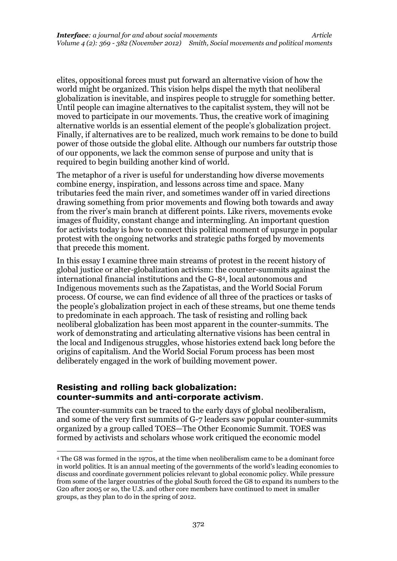elites, oppositional forces must put forward an alternative vision of how the world might be organized. This vision helps dispel the myth that neoliberal globalization is inevitable, and inspires people to struggle for something better. Until people can imagine alternatives to the capitalist system, they will not be moved to participate in our movements. Thus, the creative work of imagining alternative worlds is an essential element of the people's globalization project. Finally, if alternatives are to be realized, much work remains to be done to build power of those outside the global elite. Although our numbers far outstrip those of our opponents, we lack the common sense of purpose and unity that is required to begin building another kind of world.

The metaphor of a river is useful for understanding how diverse movements combine energy, inspiration, and lessons across time and space. Many tributaries feed the main river, and sometimes wander off in varied directions drawing something from prior movements and flowing both towards and away from the river's main branch at different points. Like rivers, movements evoke images of fluidity, constant change and intermingling. An important question for activists today is how to connect this political moment of upsurge in popular protest with the ongoing networks and strategic paths forged by movements that precede this moment.

In this essay I examine three main streams of protest in the recent history of global justice or alter-globalization activism: the counter-summits against the international financial institutions and the G-84, local autonomous and Indigenous movements such as the Zapatistas, and the World Social Forum process. Of course, we can find evidence of all three of the practices or tasks of the people's globalization project in each of these streams, but one theme tends to predominate in each approach. The task of resisting and rolling back neoliberal globalization has been most apparent in the counter-summits. The work of demonstrating and articulating alternative visions has been central in the local and Indigenous struggles, whose histories extend back long before the origins of capitalism. And the World Social Forum process has been most deliberately engaged in the work of building movement power.

#### **Resisting and rolling back globalization: counter-summits and anti-corporate activism**.

The counter-summits can be traced to the early days of global neoliberalism, and some of the very first summits of G-7 leaders saw popular counter-summits organized by a group called TOES—The Other Economic Summit. TOES was formed by activists and scholars whose work critiqued the economic model

<sup>4</sup> The G8 was formed in the 1970s, at the time when neoliberalism came to be a dominant force in world politics. It is an annual meeting of the governments of the world's leading economies to discuss and coordinate government policies relevant to global economic policy. While pressure from some of the larger countries of the global South forced the G8 to expand its numbers to the G20 after 2005 or so, the U.S. and other core members have continued to meet in smaller groups, as they plan to do in the spring of 2012.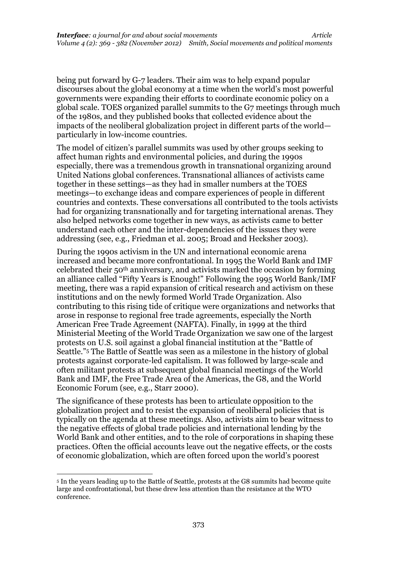being put forward by G-7 leaders. Their aim was to help expand popular discourses about the global economy at a time when the world's most powerful governments were expanding their efforts to coordinate economic policy on a global scale. TOES organized parallel summits to the G7 meetings through much of the 1980s, and they published books that collected evidence about the impacts of the neoliberal globalization project in different parts of the world particularly in low-income countries.

The model of citizen's parallel summits was used by other groups seeking to affect human rights and environmental policies, and during the 1990s especially, there was a tremendous growth in transnational organizing around United Nations global conferences. Transnational alliances of activists came together in these settings—as they had in smaller numbers at the TOES meetings—to exchange ideas and compare experiences of people in different countries and contexts. These conversations all contributed to the tools activists had for organizing transnationally and for targeting international arenas. They also helped networks come together in new ways, as activists came to better understand each other and the inter-dependencies of the issues they were addressing (see, e.g., Friedman et al. 2005; Broad and Hecksher 2003).

During the 1990s activism in the UN and international economic arena increased and became more confrontational. In 1995 the World Bank and IMF celebrated their 50th anniversary, and activists marked the occasion by forming an alliance called "Fifty Years is Enough!" Following the 1995 World Bank/IMF meeting, there was a rapid expansion of critical research and activism on these institutions and on the newly formed World Trade Organization. Also contributing to this rising tide of critique were organizations and networks that arose in response to regional free trade agreements, especially the North American Free Trade Agreement (NAFTA). Finally, in 1999 at the third Ministerial Meeting of the World Trade Organization we saw one of the largest protests on U.S. soil against a global financial institution at the "Battle of Seattle."<sup>5</sup> The Battle of Seattle was seen as a milestone in the history of global protests against corporate-led capitalism. It was followed by large-scale and often militant protests at subsequent global financial meetings of the World Bank and IMF, the Free Trade Area of the Americas, the G8, and the World Economic Forum (see, e.g., Starr 2000).

The significance of these protests has been to articulate opposition to the globalization project and to resist the expansion of neoliberal policies that is typically on the agenda at these meetings. Also, activists aim to bear witness to the negative effects of global trade policies and international lending by the World Bank and other entities, and to the role of corporations in shaping these practices. Often the official accounts leave out the negative effects, or the costs of economic globalization, which are often forced upon the world's poorest

<sup>5</sup> In the years leading up to the Battle of Seattle, protests at the G8 summits had become quite large and confrontational, but these drew less attention than the resistance at the WTO conference.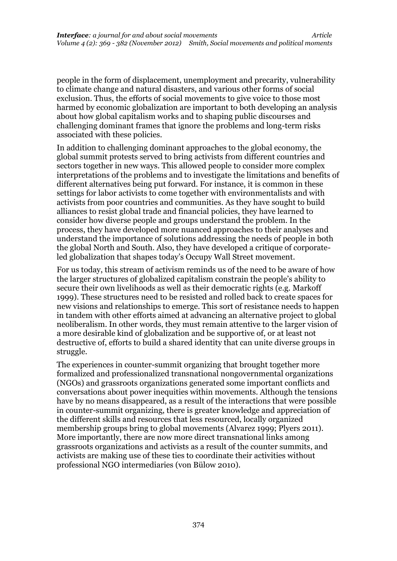people in the form of displacement, unemployment and precarity, vulnerability to climate change and natural disasters, and various other forms of social exclusion. Thus, the efforts of social movements to give voice to those most harmed by economic globalization are important to both developing an analysis about how global capitalism works and to shaping public discourses and challenging dominant frames that ignore the problems and long-term risks associated with these policies.

In addition to challenging dominant approaches to the global economy, the global summit protests served to bring activists from different countries and sectors together in new ways. This allowed people to consider more complex interpretations of the problems and to investigate the limitations and benefits of different alternatives being put forward. For instance, it is common in these settings for labor activists to come together with environmentalists and with activists from poor countries and communities. As they have sought to build alliances to resist global trade and financial policies, they have learned to consider how diverse people and groups understand the problem. In the process, they have developed more nuanced approaches to their analyses and understand the importance of solutions addressing the needs of people in both the global North and South. Also, they have developed a critique of corporateled globalization that shapes today's Occupy Wall Street movement.

For us today, this stream of activism reminds us of the need to be aware of how the larger structures of globalized capitalism constrain the people's ability to secure their own livelihoods as well as their democratic rights (e.g. Markoff 1999). These structures need to be resisted and rolled back to create spaces for new visions and relationships to emerge. This sort of resistance needs to happen in tandem with other efforts aimed at advancing an alternative project to global neoliberalism. In other words, they must remain attentive to the larger vision of a more desirable kind of globalization and be supportive of, or at least not destructive of, efforts to build a shared identity that can unite diverse groups in struggle.

The experiences in counter-summit organizing that brought together more formalized and professionalized transnational nongovernmental organizations (NGOs) and grassroots organizations generated some important conflicts and conversations about power inequities within movements. Although the tensions have by no means disappeared, as a result of the interactions that were possible in counter-summit organizing, there is greater knowledge and appreciation of the different skills and resources that less resourced, locally organized membership groups bring to global movements (Alvarez 1999; Plyers 2011). More importantly, there are now more direct transnational links among grassroots organizations and activists as a result of the counter summits, and activists are making use of these ties to coordinate their activities without professional NGO intermediaries (von Bülow 2010).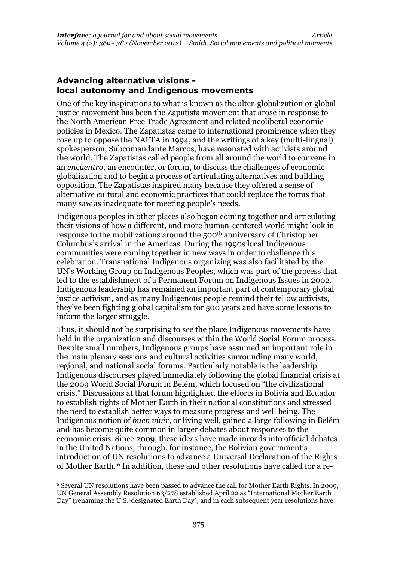#### **Advancing alternative visions local autonomy and Indigenous movements**

One of the key inspirations to what is known as the alter-globalization or global justice movement has been the Zapatista movement that arose in response to the North American Free Trade Agreement and related neoliberal economic policies in Mexico. The Zapatistas came to international prominence when they rose up to oppose the NAFTA in 1994, and the writings of a key (multi-lingual) spokesperson, Subcomandante Marcos, have resonated with activists around the world. The Zapatistas called people from all around the world to convene in an *encuentro,* an encounter, or forum, to discuss the challenges of economic globalization and to begin a process of articulating alternatives and building opposition. The Zapatistas inspired many because they offered a sense of alternative cultural and economic practices that could replace the forms that many saw as inadequate for meeting people's needs.

Indigenous peoples in other places also began coming together and articulating their visions of how a different, and more human-centered world might look in response to the mobilizations around the 500<sup>th</sup> anniversary of Christopher Columbus's arrival in the Americas. During the 1990s local Indigenous communities were coming together in new ways in order to challenge this celebration. Transnational Indigenous organizing was also facilitated by the UN's Working Group on Indigenous Peoples, which was part of the process that led to the establishment of a Permanent Forum on Indigenous Issues in 2002. Indigenous leadership has remained an important part of contemporary global justice activism, and as many Indigenous people remind their fellow activists, they've been fighting global capitalism for 500 years and have some lessons to inform the larger struggle.

Thus, it should not be surprising to see the place Indigenous movements have held in the organization and discourses within the World Social Forum process. Despite small numbers, Indigenous groups have assumed an important role in the main plenary sessions and cultural activities surrounding many world, regional, and national social forums. Particularly notable is the leadership Indigenous discourses played immediately following the global financial crisis at the 2009 World Social Forum in Belém, which focused on "the civilizational crisis." Discussions at that forum highlighted the efforts in Bolivia and Ecuador to establish rights of Mother Earth in their national constitutions and stressed the need to establish better ways to measure progress and well being. The Indigenous notion of *buen vivir*, or living well, gained a large following in Belém and has become quite common in larger debates about responses to the economic crisis. Since 2009, these ideas have made inroads into official debates in the United Nations, through, for instance, the Bolivian government's introduction of UN resolutions to advance a Universal Declaration of the Rights of Mother Earth. <sup>6</sup> In addition, these and other resolutions have called for a re-

<sup>6</sup> Several UN resolutions have been passed to advance the call for Mother Earth Rights. In 2009, UN General Assembly Resolution 63/278 established April 22 as "International Mother Earth Day" (renaming the U.S.-designated Earth Day), and in each subsequent year resolutions have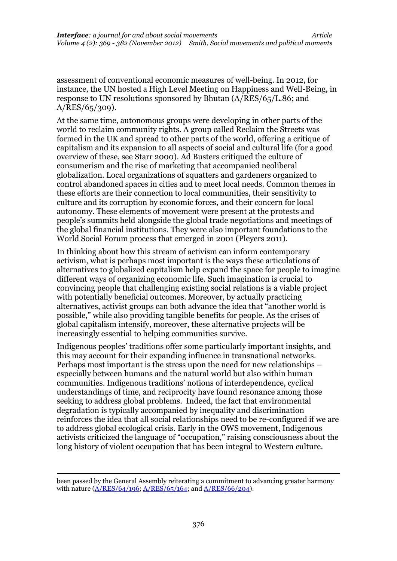assessment of conventional economic measures of well-being. In 2012, for instance, the UN hosted a High Level Meeting on Happiness and Well-Being, in response to UN resolutions sponsored by Bhutan (A/RES/65/L.86; and A/RES/65/309).

At the same time, autonomous groups were developing in other parts of the world to reclaim community rights. A group called Reclaim the Streets was formed in the UK and spread to other parts of the world, offering a critique of capitalism and its expansion to all aspects of social and cultural life (for a good overview of these, see Starr 2000). Ad Busters critiqued the culture of consumerism and the rise of marketing that accompanied neoliberal globalization. Local organizations of squatters and gardeners organized to control abandoned spaces in cities and to meet local needs. Common themes in these efforts are their connection to local communities, their sensitivity to culture and its corruption by economic forces, and their concern for local autonomy. These elements of movement were present at the protests and people's summits held alongside the global trade negotiations and meetings of the global financial institutions. They were also important foundations to the World Social Forum process that emerged in 2001 (Pleyers 2011).

In thinking about how this stream of activism can inform contemporary activism, what is perhaps most important is the ways these articulations of alternatives to globalized capitalism help expand the space for people to imagine different ways of organizing economic life. Such imagination is crucial to convincing people that challenging existing social relations is a viable project with potentially beneficial outcomes. Moreover, by actually practicing alternatives, activist groups can both advance the idea that "another world is possible," while also providing tangible benefits for people. As the crises of global capitalism intensify, moreover, these alternative projects will be increasingly essential to helping communities survive.

Indigenous peoples' traditions offer some particularly important insights, and this may account for their expanding influence in transnational networks. Perhaps most important is the stress upon the need for new relationships – especially between humans and the natural world but also within human communities. Indigenous traditions' notions of interdependence, cyclical understandings of time, and reciprocity have found resonance among those seeking to address global problems. Indeed, the fact that environmental degradation is typically accompanied by inequality and discrimination reinforces the idea that all social relationships need to be re-configured if we are to address global ecological crisis. Early in the OWS movement, Indigenous activists criticized the language of "occupation," raising consciousness about the long history of violent occupation that has been integral to Western culture.

been passed by the General Assembly reiterating a commitment to advancing greater harmony with nature  $(A/RES/64/196; A/RES/65/164;$  $(A/RES/64/196; A/RES/65/164;$  and  $A/RES/66/204$ ).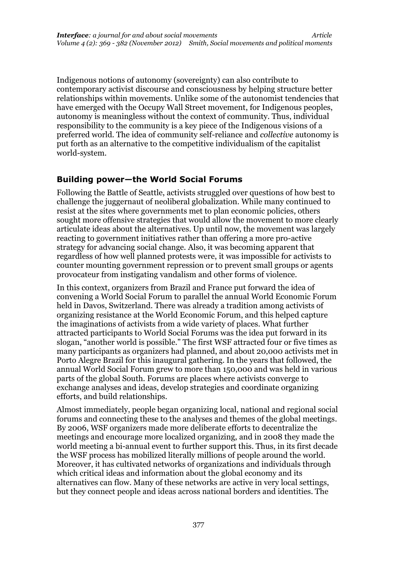Indigenous notions of autonomy (sovereignty) can also contribute to contemporary activist discourse and consciousness by helping structure better relationships within movements. Unlike some of the autonomist tendencies that have emerged with the Occupy Wall Street movement, for Indigenous peoples, autonomy is meaningless without the context of community. Thus, individual responsibility to the community is a key piece of the Indigenous visions of a preferred world. The idea of community self-reliance and *collective* autonomy is put forth as an alternative to the competitive individualism of the capitalist world-system.

## **Building power—the World Social Forums**

Following the Battle of Seattle, activists struggled over questions of how best to challenge the juggernaut of neoliberal globalization. While many continued to resist at the sites where governments met to plan economic policies, others sought more offensive strategies that would allow the movement to more clearly articulate ideas about the alternatives. Up until now, the movement was largely reacting to government initiatives rather than offering a more pro-active strategy for advancing social change. Also, it was becoming apparent that regardless of how well planned protests were, it was impossible for activists to counter mounting government repression or to prevent small groups or agents provocateur from instigating vandalism and other forms of violence.

In this context, organizers from Brazil and France put forward the idea of convening a World Social Forum to parallel the annual World Economic Forum held in Davos, Switzerland. There was already a tradition among activists of organizing resistance at the World Economic Forum, and this helped capture the imaginations of activists from a wide variety of places. What further attracted participants to World Social Forums was the idea put forward in its slogan, "another world is possible." The first WSF attracted four or five times as many participants as organizers had planned, and about 20,000 activists met in Porto Alegre Brazil for this inaugural gathering. In the years that followed, the annual World Social Forum grew to more than 150,000 and was held in various parts of the global South. Forums are places where activists converge to exchange analyses and ideas, develop strategies and coordinate organizing efforts, and build relationships.

Almost immediately, people began organizing local, national and regional social forums and connecting these to the analyses and themes of the global meetings. By 2006, WSF organizers made more deliberate efforts to decentralize the meetings and encourage more localized organizing, and in 2008 they made the world meeting a bi-annual event to further support this. Thus, in its first decade the WSF process has mobilized literally millions of people around the world. Moreover, it has cultivated networks of organizations and individuals through which critical ideas and information about the global economy and its alternatives can flow. Many of these networks are active in very local settings, but they connect people and ideas across national borders and identities. The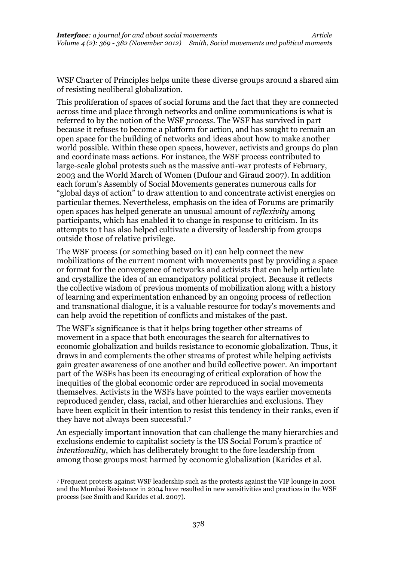WSF Charter of Principles helps unite these diverse groups around a shared aim of resisting neoliberal globalization.

This proliferation of spaces of social forums and the fact that they are connected across time and place through networks and online communications is what is referred to by the notion of the WSF *process*. The WSF has survived in part because it refuses to become a platform for action, and has sought to remain an open space for the building of networks and ideas about how to make another world possible. Within these open spaces, however, activists and groups do plan and coordinate mass actions. For instance, the WSF process contributed to large-scale global protests such as the massive anti-war protests of February, 2003 and the World March of Women (Dufour and Giraud 2007). In addition each forum's Assembly of Social Movements generates numerous calls for "global days of action" to draw attention to and concentrate activist energies on particular themes. Nevertheless, emphasis on the idea of Forums are primarily open spaces has helped generate an unusual amount of *reflexivity* among participants, which has enabled it to change in response to criticism. In its attempts to t has also helped cultivate a diversity of leadership from groups outside those of relative privilege.

The WSF process (or something based on it) can help connect the new mobilizations of the current moment with movements past by providing a space or format for the convergence of networks and activists that can help articulate and crystallize the idea of an emancipatory political project. Because it reflects the collective wisdom of previous moments of mobilization along with a history of learning and experimentation enhanced by an ongoing process of reflection and transnational dialogue, it is a valuable resource for today's movements and can help avoid the repetition of conflicts and mistakes of the past.

The WSF's significance is that it helps bring together other streams of movement in a space that both encourages the search for alternatives to economic globalization and builds resistance to economic globalization. Thus, it draws in and complements the other streams of protest while helping activists gain greater awareness of one another and build collective power. An important part of the WSFs has been its encouraging of critical exploration of how the inequities of the global economic order are reproduced in social movements themselves. Activists in the WSFs have pointed to the ways earlier movements reproduced gender, class, racial, and other hierarchies and exclusions. They have been explicit in their intention to resist this tendency in their ranks, even if they have not always been successful. 7

An especially important innovation that can challenge the many hierarchies and exclusions endemic to capitalist society is the US Social Forum's practice of *intentionality*, which has deliberately brought to the fore leadership from among those groups most harmed by economic globalization (Karides et al.

<sup>7</sup> Frequent protests against WSF leadership such as the protests against the VIP lounge in 2001 and the Mumbai Resistance in 2004 have resulted in new sensitivities and practices in the WSF process (see Smith and Karides et al. 2007).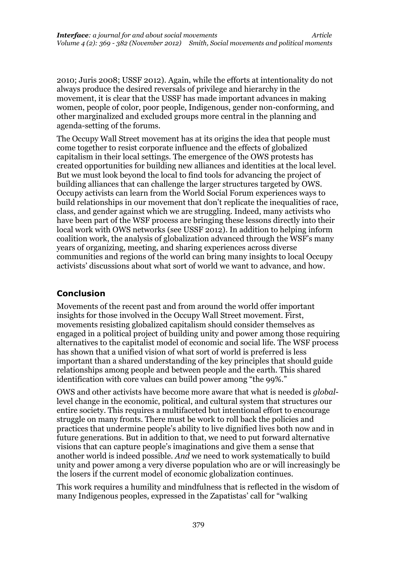2010; Juris 2008; USSF 2012). Again, while the efforts at intentionality do not always produce the desired reversals of privilege and hierarchy in the movement, it is clear that the USSF has made important advances in making women, people of color, poor people, Indigenous, gender non-conforming, and other marginalized and excluded groups more central in the planning and agenda-setting of the forums.

The Occupy Wall Street movement has at its origins the idea that people must come together to resist corporate influence and the effects of globalized capitalism in their local settings. The emergence of the OWS protests has created opportunities for building new alliances and identities at the local level. But we must look beyond the local to find tools for advancing the project of building alliances that can challenge the larger structures targeted by OWS. Occupy activists can learn from the World Social Forum experiences ways to build relationships in our movement that don't replicate the inequalities of race, class, and gender against which we are struggling. Indeed, many activists who have been part of the WSF process are bringing these lessons directly into their local work with OWS networks (see USSF 2012). In addition to helping inform coalition work, the analysis of globalization advanced through the WSF's many years of organizing, meeting, and sharing experiences across diverse communities and regions of the world can bring many insights to local Occupy activists' discussions about what sort of world we want to advance, and how.

# **Conclusion**

Movements of the recent past and from around the world offer important insights for those involved in the Occupy Wall Street movement. First, movements resisting globalized capitalism should consider themselves as engaged in a political project of building unity and power among those requiring alternatives to the capitalist model of economic and social life. The WSF process has shown that a unified vision of what sort of world is preferred is less important than a shared understanding of the key principles that should guide relationships among people and between people and the earth. This shared identification with core values can build power among "the 99%."

OWS and other activists have become more aware that what is needed is *global*level change in the economic, political, and cultural system that structures our entire society. This requires a multifaceted but intentional effort to encourage struggle on many fronts. There must be work to roll back the policies and practices that undermine people's ability to live dignified lives both now and in future generations. But in addition to that, we need to put forward alternative visions that can capture people's imaginations and give them a sense that another world is indeed possible. *And* we need to work systematically to build unity and power among a very diverse population who are or will increasingly be the losers if the current model of economic globalization continues.

This work requires a humility and mindfulness that is reflected in the wisdom of many Indigenous peoples, expressed in the Zapatistas' call for "walking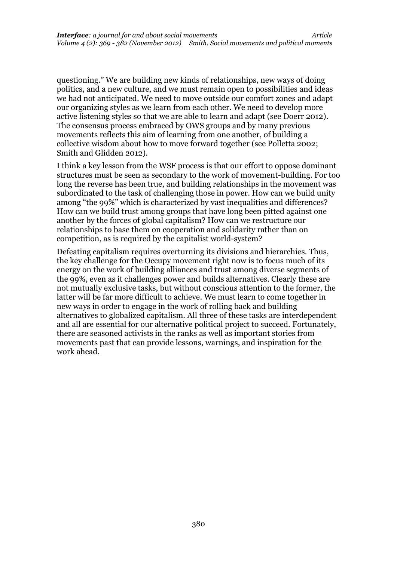questioning." We are building new kinds of relationships, new ways of doing politics, and a new culture, and we must remain open to possibilities and ideas we had not anticipated. We need to move outside our comfort zones and adapt our organizing styles as we learn from each other. We need to develop more active listening styles so that we are able to learn and adapt (see Doerr 2012). The consensus process embraced by OWS groups and by many previous movements reflects this aim of learning from one another, of building a collective wisdom about how to move forward together (see Polletta 2002; Smith and Glidden 2012).

I think a key lesson from the WSF process is that our effort to oppose dominant structures must be seen as secondary to the work of movement-building. For too long the reverse has been true, and building relationships in the movement was subordinated to the task of challenging those in power. How can we build unity among "the 99%" which is characterized by vast inequalities and differences? How can we build trust among groups that have long been pitted against one another by the forces of global capitalism? How can we restructure our relationships to base them on cooperation and solidarity rather than on competition, as is required by the capitalist world-system?

Defeating capitalism requires overturning its divisions and hierarchies. Thus, the key challenge for the Occupy movement right now is to focus much of its energy on the work of building alliances and trust among diverse segments of the 99%, even as it challenges power and builds alternatives. Clearly these are not mutually exclusive tasks, but without conscious attention to the former, the latter will be far more difficult to achieve. We must learn to come together in new ways in order to engage in the work of rolling back and building alternatives to globalized capitalism. All three of these tasks are interdependent and all are essential for our alternative political project to succeed. Fortunately, there are seasoned activists in the ranks as well as important stories from movements past that can provide lessons, warnings, and inspiration for the work ahead.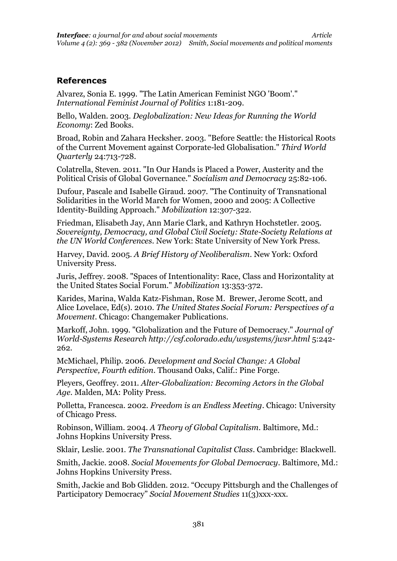#### **References**

Alvarez, Sonia E. 1999. "The Latin American Feminist NGO 'Boom'." *International Feminist Journal of Politics* 1:181-209.

Bello, Walden. 2003. *Deglobalization: New Ideas for Running the World Economy*: Zed Books.

Broad, Robin and Zahara Hecksher. 2003. "Before Seattle: the Historical Roots of the Current Movement against Corporate-led Globalisation." *Third World Quarterly* 24:713-728.

Colatrella, Steven. 2011. "In Our Hands is Placed a Power, Austerity and the Political Crisis of Global Governance." *Socialism and Democracy* 25:82-106.

Dufour, Pascale and Isabelle Giraud. 2007. "The Continuity of Transnational Solidarities in the World March for Women, 2000 and 2005: A Collective Identity-Building Approach." *Mobilization* 12:307-322.

Friedman, Elisabeth Jay, Ann Marie Clark, and Kathryn Hochstetler. 2005. *Sovereignty, Democracy, and Global Civil Society: State-Society Relations at the UN World Conferences*. New York: State University of New York Press.

Harvey, David. 2005. *A Brief History of Neoliberalism*. New York: Oxford University Press.

Juris, Jeffrey. 2008. "Spaces of Intentionality: Race, Class and Horizontality at the United States Social Forum." *Mobilization* 13:353-372.

Karides, Marina, Walda Katz-Fishman, Rose M. Brewer, Jerome Scott, and Alice Lovelace, Ed(s). 2010. *The United States Social Forum: Perspectives of a Movement*. Chicago: Changemaker Publications.

Markoff, John. 1999. "Globalization and the Future of Democracy." *Journal of World-Systems Research http://csf.colorado.edu/wsystems/jwsr.html* 5:242- 262.

McMichael, Philip. 2006. *Development and Social Change: A Global Perspective, Fourth edition*. Thousand Oaks, Calif.: Pine Forge.

Pleyers, Geoffrey. 2011. *Alter-Globalization: Becoming Actors in the Global Age*. Malden, MA: Polity Press.

Polletta, Francesca. 2002. *Freedom is an Endless Meeting*. Chicago: University of Chicago Press.

Robinson, William. 2004. *A Theory of Global Capitalism*. Baltimore, Md.: Johns Hopkins University Press.

Sklair, Leslie. 2001. *The Transnational Capitalist Class*. Cambridge: Blackwell.

Smith, Jackie. 2008. *Social Movements for Global Democracy*. Baltimore, Md.: Johns Hopkins University Press.

Smith, Jackie and Bob Glidden. 2012. "Occupy Pittsburgh and the Challenges of Participatory Democracy" *Social Movement Studies* 11(3)xxx-xxx.